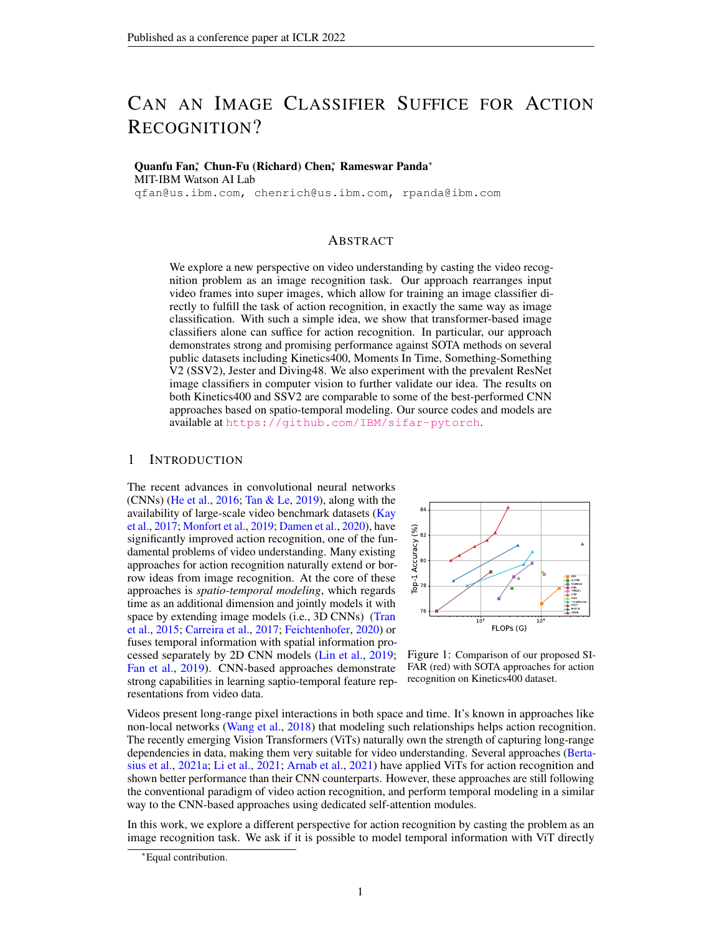# CAN AN IMAGE CLASSIFIER SUFFICE FOR ACTION RECOGNITION?

Quanfu Fan<sup>\*</sup>, Chun-Fu (Richard) Chen<sup>\*</sup>, Rameswar Panda<sup>\*</sup> MIT-IBM Watson AI Lab

qfan@us.ibm.com, chenrich@us.ibm.com, rpanda@ibm.com

## ABSTRACT

We explore a new perspective on video understanding by casting the video recognition problem as an image recognition task. Our approach rearranges input video frames into super images, which allow for training an image classifier directly to fulfill the task of action recognition, in exactly the same way as image classification. With such a simple idea, we show that transformer-based image classifiers alone can suffice for action recognition. In particular, our approach demonstrates strong and promising performance against SOTA methods on several public datasets including Kinetics400, Moments In Time, Something-Something V2 (SSV2), Jester and Diving48. We also experiment with the prevalent ResNet image classifiers in computer vision to further validate our idea. The results on both Kinetics400 and SSV2 are comparable to some of the best-performed CNN approaches based on spatio-temporal modeling. Our source codes and models are available at <https://github.com/IBM/sifar-pytorch>.

## 1 INTRODUCTION

The recent advances in convolutional neural networks  $(CNNs)$  [\(He et al.,](#page-10-0) [2016;](#page-10-0) [Tan & Le,](#page-11-0) [2019\)](#page-11-0), along with the availability of large-scale video benchmark datasets [\(Kay](#page-10-1) [et al.,](#page-10-1) [2017;](#page-10-1) [Monfort et al.,](#page-11-1) [2019;](#page-11-1) [Damen et al.,](#page-9-0) [2020\)](#page-9-0), have significantly improved action recognition, one of the fundamental problems of video understanding. Many existing approaches for action recognition naturally extend or borrow ideas from image recognition. At the core of these approaches is *spatio-temporal modeling*, which regards time as an additional dimension and jointly models it with space by extending image models (i.e., 3D CNNs) [\(Tran](#page-11-2) [et al.,](#page-11-2) [2015;](#page-11-2) [Carreira et al.,](#page-9-1) [2017;](#page-9-1) [Feichtenhofer,](#page-9-2) [2020\)](#page-9-2) or fuses temporal information with spatial information processed separately by 2D CNN models [\(Lin et al.,](#page-10-2) [2019;](#page-10-2) [Fan et al.,](#page-9-3) [2019\)](#page-9-3). CNN-based approaches demonstrate strong capabilities in learning saptio-temporal feature representations from video data.

<span id="page-0-0"></span>

Figure 1: Comparison of our proposed SI-FAR (red) with SOTA approaches for action recognition on Kinetics400 dataset.

Videos present long-range pixel interactions in both space and time. It's known in approaches like non-local networks [\(Wang et al.,](#page-12-0) [2018\)](#page-12-0) that modeling such relationships helps action recognition. The recently emerging Vision Transformers (ViTs) naturally own the strength of capturing long-range dependencies in data, making them very suitable for video understanding. Several approaches [\(Berta](#page-9-4)[sius et al.,](#page-9-4) [2021a;](#page-9-4) [Li et al.,](#page-10-3) [2021;](#page-10-3) [Arnab et al.,](#page-9-5) [2021\)](#page-9-5) have applied ViTs for action recognition and shown better performance than their CNN counterparts. However, these approaches are still following the conventional paradigm of video action recognition, and perform temporal modeling in a similar way to the CNN-based approaches using dedicated self-attention modules.

In this work, we explore a different perspective for action recognition by casting the problem as an image recognition task. We ask if it is possible to model temporal information with ViT directly

<sup>∗</sup>Equal contribution.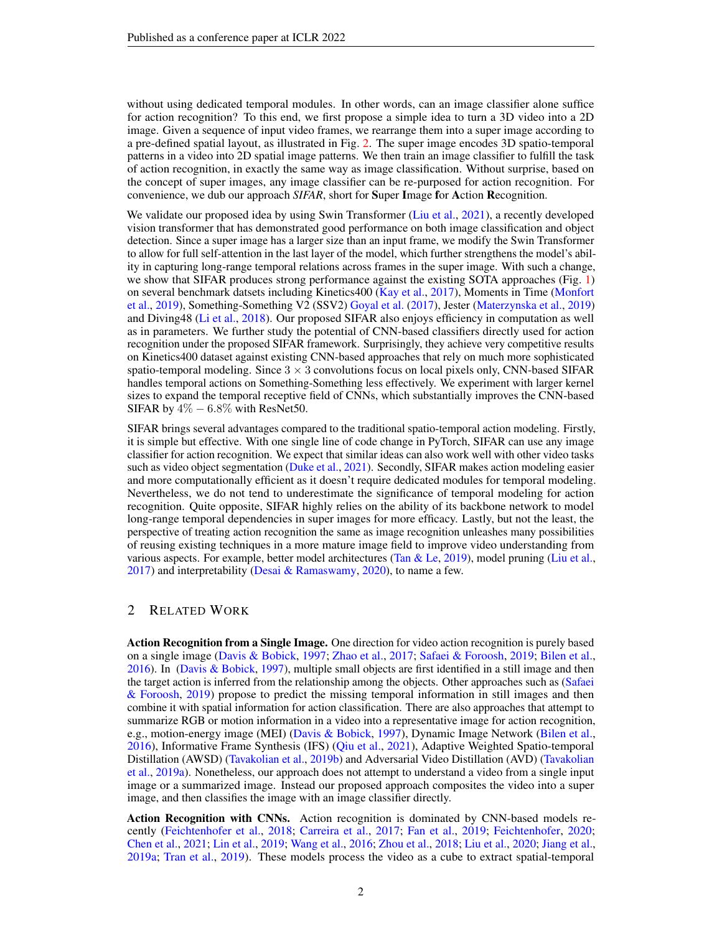without using dedicated temporal modules. In other words, can an image classifier alone suffice for action recognition? To this end, we first propose a simple idea to turn a 3D video into a 2D image. Given a sequence of input video frames, we rearrange them into a super image according to a pre-defined spatial layout, as illustrated in Fig. [2.](#page-2-0) The super image encodes 3D spatio-temporal patterns in a video into 2D spatial image patterns. We then train an image classifier to fulfill the task of action recognition, in exactly the same way as image classification. Without surprise, based on the concept of super images, any image classifier can be re-purposed for action recognition. For convenience, we dub our approach *SIFAR*, short for Super Image for Action Recognition.

We validate our proposed idea by using Swin Transformer [\(Liu et al.,](#page-10-4) [2021\)](#page-10-4), a recently developed vision transformer that has demonstrated good performance on both image classification and object detection. Since a super image has a larger size than an input frame, we modify the Swin Transformer to allow for full self-attention in the last layer of the model, which further strengthens the model's ability in capturing long-range temporal relations across frames in the super image. With such a change, we show that SIFAR produces strong performance against the existing SOTA approaches (Fig. [1\)](#page-0-0) on several benchmark datsets including Kinetics400 [\(Kay et al.,](#page-10-1) [2017\)](#page-10-1), Moments in Time [\(Monfort](#page-11-1) [et al.,](#page-11-1) [2019\)](#page-11-1), Something-Something V2 (SSV2) [Goyal et al.](#page-10-5) [\(2017\)](#page-10-5), Jester [\(Materzynska et al.,](#page-10-6) [2019\)](#page-10-6) and Diving48 [\(Li et al.,](#page-10-7) [2018\)](#page-10-7). Our proposed SIFAR also enjoys efficiency in computation as well as in parameters. We further study the potential of CNN-based classifiers directly used for action recognition under the proposed SIFAR framework. Surprisingly, they achieve very competitive results on Kinetics400 dataset against existing CNN-based approaches that rely on much more sophisticated spatio-temporal modeling. Since  $3 \times 3$  convolutions focus on local pixels only, CNN-based SIFAR handles temporal actions on Something-Something less effectively. We experiment with larger kernel sizes to expand the temporal receptive field of CNNs, which substantially improves the CNN-based SIFAR by  $4\% - 6.8\%$  with ResNet50.

SIFAR brings several advantages compared to the traditional spatio-temporal action modeling. Firstly, it is simple but effective. With one single line of code change in PyTorch, SIFAR can use any image classifier for action recognition. We expect that similar ideas can also work well with other video tasks such as video object segmentation [\(Duke et al.,](#page-9-6) [2021\)](#page-9-6). Secondly, SIFAR makes action modeling easier and more computationally efficient as it doesn't require dedicated modules for temporal modeling. Nevertheless, we do not tend to underestimate the significance of temporal modeling for action recognition. Quite opposite, SIFAR highly relies on the ability of its backbone network to model long-range temporal dependencies in super images for more efficacy. Lastly, but not the least, the perspective of treating action recognition the same as image recognition unleashes many possibilities of reusing existing techniques in a more mature image field to improve video understanding from various aspects. For example, better model architectures [\(Tan & Le,](#page-11-0) [2019\)](#page-11-0), model pruning [\(Liu et al.,](#page-10-8)  $2017$ ) and interpretability [\(Desai & Ramaswamy,](#page-9-7) [2020\)](#page-9-7), to name a few.

# 2 RELATED WORK

Action Recognition from a Single Image. One direction for video action recognition is purely based on a single image [\(Davis & Bobick,](#page-9-8) [1997;](#page-9-8) [Zhao et al.,](#page-12-1) [2017;](#page-12-1) [Safaei & Foroosh,](#page-11-3) [2019;](#page-11-3) [Bilen et al.,](#page-9-9) [2016\)](#page-9-9). In [\(Davis & Bobick,](#page-9-8) [1997\)](#page-9-8), multiple small objects are first identified in a still image and then the target action is inferred from the relationship among the objects. Other approaches such as [\(Safaei](#page-11-3) [& Foroosh,](#page-11-3) [2019\)](#page-11-3) propose to predict the missing temporal information in still images and then combine it with spatial information for action classification. There are also approaches that attempt to summarize RGB or motion information in a video into a representative image for action recognition, e.g., motion-energy image (MEI) [\(Davis & Bobick,](#page-9-8) [1997\)](#page-9-8), Dynamic Image Network [\(Bilen et al.,](#page-9-9) [2016\)](#page-9-9), Informative Frame Synthesis (IFS) [\(Qiu et al.,](#page-11-4) [2021\)](#page-11-4), Adaptive Weighted Spatio-temporal Distillation (AWSD) [\(Tavakolian et al.,](#page-11-5) [2019b\)](#page-11-5) and Adversarial Video Distillation (AVD) [\(Tavakolian](#page-11-6) [et al.,](#page-11-6) [2019a\)](#page-11-6). Nonetheless, our approach does not attempt to understand a video from a single input image or a summarized image. Instead our proposed approach composites the video into a super image, and then classifies the image with an image classifier directly.

Action Recognition with CNNs. Action recognition is dominated by CNN-based models recently [\(Feichtenhofer et al.,](#page-9-10) [2018;](#page-9-10) [Carreira et al.,](#page-9-1) [2017;](#page-9-1) [Fan et al.,](#page-9-3) [2019;](#page-9-3) [Feichtenhofer,](#page-9-2) [2020;](#page-9-2) [Chen et al.,](#page-9-11) [2021;](#page-9-11) [Lin et al.,](#page-10-2) [2019;](#page-10-2) [Wang et al.,](#page-11-7) [2016;](#page-11-7) [Zhou et al.,](#page-12-2) [2018;](#page-12-2) [Liu et al.,](#page-10-9) [2020;](#page-10-9) [Jiang et al.,](#page-10-10) [2019a;](#page-10-10) [Tran et al.,](#page-11-8) [2019\)](#page-11-8). These models process the video as a cube to extract spatial-temporal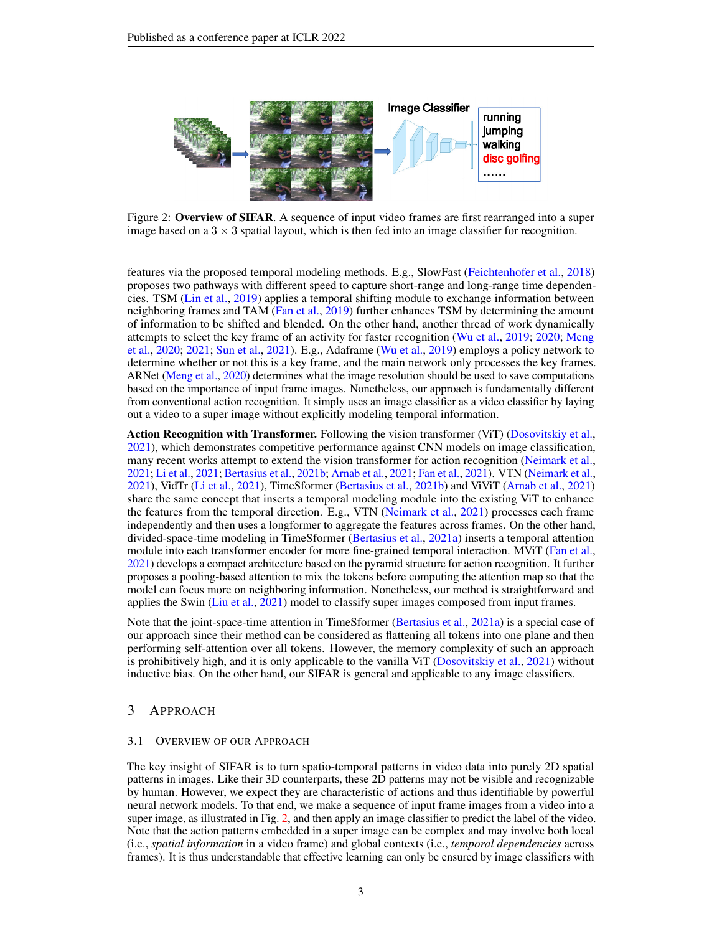<span id="page-2-0"></span>

Figure 2: Overview of SIFAR. A sequence of input video frames are first rearranged into a super image based on a  $3 \times 3$  spatial layout, which is then fed into an image classifier for recognition.

features via the proposed temporal modeling methods. E.g., SlowFast [\(Feichtenhofer et al.,](#page-9-10) [2018\)](#page-9-10) proposes two pathways with different speed to capture short-range and long-range time dependencies. TSM [\(Lin et al.,](#page-10-2) [2019\)](#page-10-2) applies a temporal shifting module to exchange information between neighboring frames and TAM [\(Fan et al.,](#page-9-3) [2019\)](#page-9-3) further enhances TSM by determining the amount of information to be shifted and blended. On the other hand, another thread of work dynamically attempts to select the key frame of an activity for faster recognition [\(Wu et al.,](#page-12-3) [2019;](#page-12-3) [2020;](#page-12-4) [Meng](#page-10-11) [et al.,](#page-10-11) [2020;](#page-10-11) [2021;](#page-11-9) [Sun et al.,](#page-11-10) [2021\)](#page-11-10). E.g., Adaframe [\(Wu et al.,](#page-12-3) [2019\)](#page-12-3) employs a policy network to determine whether or not this is a key frame, and the main network only processes the key frames. ARNet [\(Meng et al.,](#page-10-11) [2020\)](#page-10-11) determines what the image resolution should be used to save computations based on the importance of input frame images. Nonetheless, our approach is fundamentally different from conventional action recognition. It simply uses an image classifier as a video classifier by laying out a video to a super image without explicitly modeling temporal information.

Action Recognition with Transformer. Following the vision transformer (ViT) [\(Dosovitskiy et al.,](#page-9-12) [2021\)](#page-9-12), which demonstrates competitive performance against CNN models on image classification, many recent works attempt to extend the vision transformer for action recognition [\(Neimark et al.,](#page-11-11) [2021;](#page-11-11) [Li et al.,](#page-10-3) [2021;](#page-10-3) [Bertasius et al.,](#page-9-13) [2021b;](#page-9-13) [Arnab et al.,](#page-9-5) [2021;](#page-9-5) [Fan et al.,](#page-9-14) [2021\)](#page-9-14). VTN [\(Neimark et al.,](#page-11-11) [2021\)](#page-11-11), VidTr [\(Li et al.,](#page-10-3) [2021\)](#page-10-3), TimeSformer [\(Bertasius et al.,](#page-9-13) [2021b\)](#page-9-13) and ViViT [\(Arnab et al.,](#page-9-5) [2021\)](#page-9-5) share the same concept that inserts a temporal modeling module into the existing ViT to enhance the features from the temporal direction. E.g., VTN [\(Neimark et al.,](#page-11-11) [2021\)](#page-11-11) processes each frame independently and then uses a longformer to aggregate the features across frames. On the other hand, divided-space-time modeling in TimeSformer [\(Bertasius et al.,](#page-9-4) [2021a\)](#page-9-4) inserts a temporal attention module into each transformer encoder for more fine-grained temporal interaction. MViT [\(Fan et al.,](#page-9-14) [2021\)](#page-9-14) develops a compact architecture based on the pyramid structure for action recognition. It further proposes a pooling-based attention to mix the tokens before computing the attention map so that the model can focus more on neighboring information. Nonetheless, our method is straightforward and applies the Swin [\(Liu et al.,](#page-10-4) [2021\)](#page-10-4) model to classify super images composed from input frames.

Note that the joint-space-time attention in TimeSformer [\(Bertasius et al.,](#page-9-4) [2021a\)](#page-9-4) is a special case of our approach since their method can be considered as flattening all tokens into one plane and then performing self-attention over all tokens. However, the memory complexity of such an approach is prohibitively high, and it is only applicable to the vanilla ViT [\(Dosovitskiy et al.,](#page-9-12) [2021\)](#page-9-12) without inductive bias. On the other hand, our SIFAR is general and applicable to any image classifiers.

## 3 APPROACH

#### 3.1 OVERVIEW OF OUR APPROACH

The key insight of SIFAR is to turn spatio-temporal patterns in video data into purely 2D spatial patterns in images. Like their 3D counterparts, these 2D patterns may not be visible and recognizable by human. However, we expect they are characteristic of actions and thus identifiable by powerful neural network models. To that end, we make a sequence of input frame images from a video into a super image, as illustrated in Fig. [2,](#page-2-0) and then apply an image classifier to predict the label of the video. Note that the action patterns embedded in a super image can be complex and may involve both local (i.e., *spatial information* in a video frame) and global contexts (i.e., *temporal dependencies* across frames). It is thus understandable that effective learning can only be ensured by image classifiers with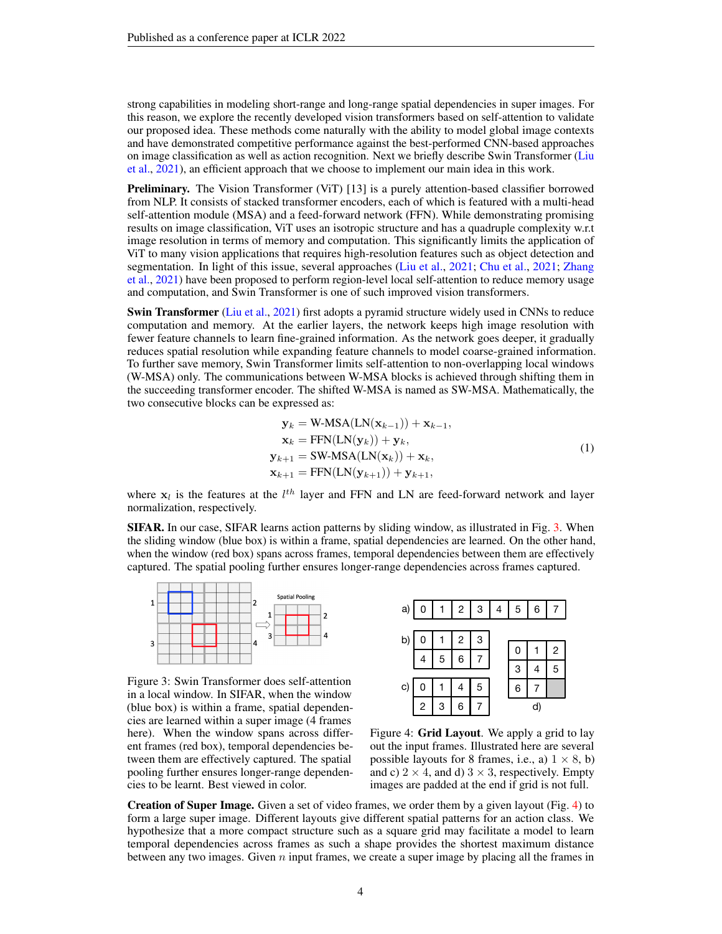strong capabilities in modeling short-range and long-range spatial dependencies in super images. For this reason, we explore the recently developed vision transformers based on self-attention to validate our proposed idea. These methods come naturally with the ability to model global image contexts and have demonstrated competitive performance against the best-performed CNN-based approaches on image classification as well as action recognition. Next we briefly describe Swin Transformer [\(Liu](#page-10-4) [et al.,](#page-10-4) [2021\)](#page-10-4), an efficient approach that we choose to implement our main idea in this work.

**Preliminary.** The Vision Transformer (ViT) [13] is a purely attention-based classifier borrowed from NLP. It consists of stacked transformer encoders, each of which is featured with a multi-head self-attention module (MSA) and a feed-forward network (FFN). While demonstrating promising results on image classification, ViT uses an isotropic structure and has a quadruple complexity w.r.t image resolution in terms of memory and computation. This significantly limits the application of ViT to many vision applications that requires high-resolution features such as object detection and segmentation. In light of this issue, several approaches [\(Liu et al.,](#page-10-4) [2021;](#page-9-15) [Chu et al.,](#page-9-15) 2021; [Zhang](#page-12-5) [et al.,](#page-12-5) [2021\)](#page-12-5) have been proposed to perform region-level local self-attention to reduce memory usage and computation, and Swin Transformer is one of such improved vision transformers.

Swin Transformer [\(Liu et al.,](#page-10-4) [2021\)](#page-10-4) first adopts a pyramid structure widely used in CNNs to reduce computation and memory. At the earlier layers, the network keeps high image resolution with fewer feature channels to learn fine-grained information. As the network goes deeper, it gradually reduces spatial resolution while expanding feature channels to model coarse-grained information. To further save memory, Swin Transformer limits self-attention to non-overlapping local windows (W-MSA) only. The communications between W-MSA blocks is achieved through shifting them in the succeeding transformer encoder. The shifted W-MSA is named as SW-MSA. Mathematically, the two consecutive blocks can be expressed as:

$$
\mathbf{y}_{k} = \text{W-MSA}(\text{LN}(\mathbf{x}_{k-1})) + \mathbf{x}_{k-1},
$$
\n
$$
\mathbf{x}_{k} = \text{FFN}(\text{LN}(\mathbf{y}_{k})) + \mathbf{y}_{k},
$$
\n
$$
\mathbf{y}_{k+1} = \text{SW-MSA}(\text{LN}(\mathbf{x}_{k})) + \mathbf{x}_{k},
$$
\n
$$
\mathbf{x}_{k+1} = \text{FFN}(\text{LN}(\mathbf{y}_{k+1})) + \mathbf{y}_{k+1},
$$
\n(1)

where  $x_l$  is the features at the  $l^{th}$  layer and FFN and LN are feed-forward network and layer normalization, respectively.

SIFAR. In our case, SIFAR learns action patterns by sliding window, as illustrated in Fig. [3.](#page-3-0) When the sliding window (blue box) is within a frame, spatial dependencies are learned. On the other hand, when the window (red box) spans across frames, temporal dependencies between them are effectively captured. The spatial pooling further ensures longer-range dependencies across frames captured.



<span id="page-3-0"></span>Figure 3: Swin Transformer does self-attention in a local window. In SIFAR, when the window (blue box) is within a frame, spatial dependencies are learned within a super image (4 frames here). When the window spans across different frames (red box), temporal dependencies between them are effectively captured. The spatial pooling further ensures longer-range dependencies to be learnt. Best viewed in color.



<span id="page-3-1"></span>Figure 4: Grid Layout. We apply a grid to lay out the input frames. Illustrated here are several possible layouts for 8 frames, i.e., a)  $1 \times 8$ , b) and c)  $2 \times 4$ , and d)  $3 \times 3$ , respectively. Empty images are padded at the end if grid is not full.

Creation of Super Image. Given a set of video frames, we order them by a given layout (Fig. [4\)](#page-3-1) to form a large super image. Different layouts give different spatial patterns for an action class. We hypothesize that a more compact structure such as a square grid may facilitate a model to learn temporal dependencies across frames as such a shape provides the shortest maximum distance between any two images. Given  $n$  input frames, we create a super image by placing all the frames in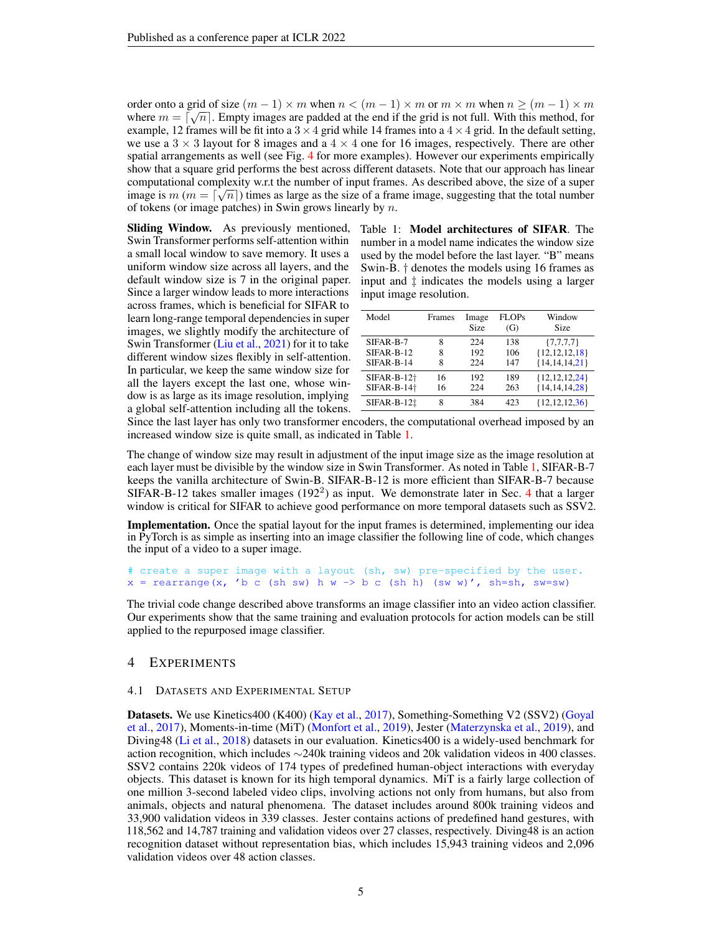order onto a grid of size  $(m - 1) \times m$  when  $n < (m - 1) \times m$  or  $m \times m$  when  $n \ge (m - 1) \times m$ where  $m = \lceil \sqrt{n} \rceil$ . Empty images are padded at the end if the grid is not full. With this method, for example, 12 frames will be fit into a  $3 \times 4$  grid while 14 frames into a  $4 \times 4$  grid. In the default setting, we use a  $3 \times 3$  layout for 8 images and a  $4 \times 4$  one for 16 images, respectively. There are other spatial arrangements as well (see Fig. [4](#page-3-1) for more examples). However our experiments empirically show that a square grid performs the best across different datasets. Note that our approach has linear computational complexity w.r.t the number of input frames. As described above, the size of a super √ image is  $m (m = \lceil \sqrt{n} \rceil)$  times as large as the size of a frame image, suggesting that the total number of tokens (or image patches) in Swin grows linearly by  $n$ .

Sliding Window. As previously mentioned, Swin Transformer performs self-attention within a small local window to save memory. It uses a uniform window size across all layers, and the default window size is 7 in the original paper. Since a larger window leads to more interactions across frames, which is beneficial for SIFAR to learn long-range temporal dependencies in super images, we slightly modify the architecture of Swin Transformer [\(Liu et al.,](#page-10-4) [2021\)](#page-10-4) for it to take different window sizes flexibly in self-attention. In particular, we keep the same window size for all the layers except the last one, whose window is as large as its image resolution, implying a global self-attention including all the tokens.

<span id="page-4-0"></span>Table 1: Model architectures of SIFAR. The number in a model name indicates the window size used by the model before the last layer. "B" means Swin-B. † denotes the models using 16 frames as input and ‡ indicates the models using a larger input image resolution.

| Model               | Frames | Image<br>Size | <b>FLOPs</b><br>(G) | Window<br>Size     |
|---------------------|--------|---------------|---------------------|--------------------|
| SIFAR-B-7           | 8      | 224           | 138                 | $\{7,7,7,7\}$      |
| SIFAR-B-12          | 8      | 192           | 106                 | ${12,12,12,18}$    |
| $SIFAR-B-14$        | 8      | 224           | 147                 | ${14, 14, 14, 21}$ |
| $SIFAR-B-12+$       | 16     | 192           | 189                 | ${12,12,12,24}$    |
| $SIFAR-B-14\dagger$ | 16     | 224           | 263                 | ${14,14,14,28}$    |
| $SIFAR-B-12†$       | 8      | 384           | 423                 | ${12, 12, 12, 36}$ |

Since the last layer has only two transformer encoders, the computational overhead imposed by an increased window size is quite small, as indicated in Table [1.](#page-4-0)

The change of window size may result in adjustment of the input image size as the image resolution at each layer must be divisible by the window size in Swin Transformer. As noted in Table [1,](#page-4-0) SIFAR-B-7 keeps the vanilla architecture of Swin-B. SIFAR-B-12 is more efficient than SIFAR-B-7 because SIFAR-B-12 takes smaller images (192<sup>2</sup>) as input. We demonstrate later in Sec. [4](#page-4-1) that a larger window is critical for SIFAR to achieve good performance on more temporal datasets such as SSV2.

Implementation. Once the spatial layout for the input frames is determined, implementing our idea in PyTorch is as simple as inserting into an image classifier the following line of code, which changes the input of a video to a super image.

```
# create a super image with a layout (sh, sw) pre-specified by the user.
x = \text{rearrange}(x, 'b c (sh sw) h w \rightarrow b c (sh h) (sw w)', sh = sh, sw = sw)
```
The trivial code change described above transforms an image classifier into an video action classifier. Our experiments show that the same training and evaluation protocols for action models can be still applied to the repurposed image classifier.

## <span id="page-4-1"></span>4 EXPERIMENTS

#### 4.1 DATASETS AND EXPERIMENTAL SETUP

Datasets. We use Kinetics400 (K400) [\(Kay et al.,](#page-10-1) [2017\)](#page-10-1), Something-Something V2 (SSV2) [\(Goyal](#page-10-5) [et al.,](#page-10-5) [2017\)](#page-10-5), Moments-in-time (MiT) [\(Monfort et al.,](#page-11-1) [2019\)](#page-11-1), Jester [\(Materzynska et al.,](#page-10-6) [2019\)](#page-10-6), and Diving48 [\(Li et al.,](#page-10-7) [2018\)](#page-10-7) datasets in our evaluation. Kinetics400 is a widely-used benchmark for action recognition, which includes ∼240k training videos and 20k validation videos in 400 classes. SSV2 contains 220k videos of 174 types of predefined human-object interactions with everyday objects. This dataset is known for its high temporal dynamics. MiT is a fairly large collection of one million 3-second labeled video clips, involving actions not only from humans, but also from animals, objects and natural phenomena. The dataset includes around 800k training videos and 33,900 validation videos in 339 classes. Jester contains actions of predefined hand gestures, with 118,562 and 14,787 training and validation videos over 27 classes, respectively. Diving48 is an action recognition dataset without representation bias, which includes 15,943 training videos and 2,096 validation videos over 48 action classes.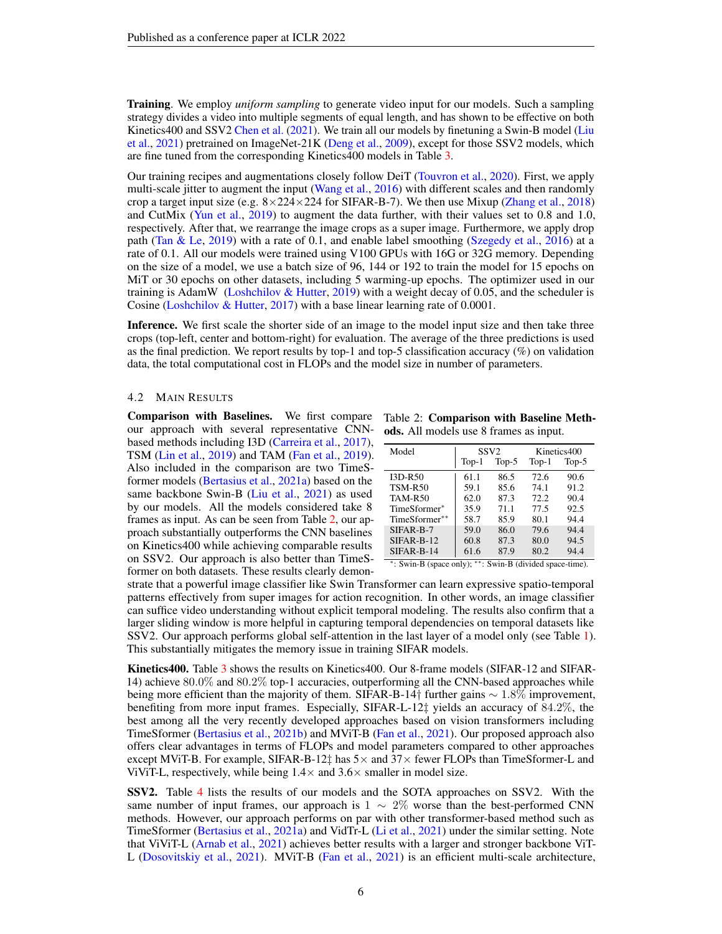Training. We employ *uniform sampling* to generate video input for our models. Such a sampling strategy divides a video into multiple segments of equal length, and has shown to be effective on both Kinetics400 and SSV2 [Chen et al.](#page-9-11) [\(2021\)](#page-9-11). We train all our models by finetuning a Swin-B model [\(Liu](#page-10-4) [et al.,](#page-10-4) [2021\)](#page-10-4) pretrained on ImageNet-21K [\(Deng et al.,](#page-9-16) [2009\)](#page-9-16), except for those SSV2 models, which are fine tuned from the corresponding Kinetics400 models in Table [3.](#page-6-0)

Our training recipes and augmentations closely follow DeiT [\(Touvron et al.,](#page-11-12) [2020\)](#page-11-12). First, we apply multi-scale jitter to augment the input [\(Wang et al.,](#page-11-7) [2016\)](#page-11-7) with different scales and then randomly crop a target input size (e.g.  $8 \times 224 \times 224$  for SIFAR-B-7). We then use Mixup [\(Zhang et al.,](#page-12-6) [2018\)](#page-12-6) and CutMix [\(Yun et al.,](#page-12-7) [2019\)](#page-12-7) to augment the data further, with their values set to 0.8 and 1.0, respectively. After that, we rearrange the image crops as a super image. Furthermore, we apply drop path [\(Tan & Le,](#page-11-0) [2019\)](#page-11-0) with a rate of 0.1, and enable label smoothing [\(Szegedy et al.,](#page-11-13) [2016\)](#page-11-13) at a rate of 0.1. All our models were trained using V100 GPUs with 16G or 32G memory. Depending on the size of a model, we use a batch size of 96, 144 or 192 to train the model for 15 epochs on MiT or 30 epochs on other datasets, including 5 warming-up epochs. The optimizer used in our training is AdamW [\(Loshchilov & Hutter,](#page-10-12) [2019\)](#page-10-12) with a weight decay of 0.05, and the scheduler is Cosine [\(Loshchilov & Hutter,](#page-10-13) [2017\)](#page-10-13) with a base linear learning rate of 0.0001.

Inference. We first scale the shorter side of an image to the model input size and then take three crops (top-left, center and bottom-right) for evaluation. The average of the three predictions is used as the final prediction. We report results by top-1 and top-5 classification accuracy (%) on validation data, the total computational cost in FLOPs and the model size in number of parameters.

#### 4.2 MAIN RESULTS

Comparison with Baselines. We first compare Table 2: Comparison with Baseline Methour approach with several representative CNN- ods. All models use 8 frames as input. based methods including I3D [\(Carreira et al.,](#page-9-1) [2017\)](#page-9-1), TSM [\(Lin et al.,](#page-10-2) [2019\)](#page-10-2) and TAM [\(Fan et al.,](#page-9-3) [2019\)](#page-9-3). Also included in the comparison are two TimeSformer models [\(Bertasius et al.,](#page-9-4) [2021a\)](#page-9-4) based on the same backbone Swin-B [\(Liu et al.,](#page-10-4) [2021\)](#page-10-4) as used by our models. All the models considered take 8 frames as input. As can be seen from Table [2,](#page-5-0) our approach substantially outperforms the CNN baselines on Kinetics400 while achieving comparable results on SSV2. Our approach is also better than TimeSformer on both datasets. These results clearly demon-

<span id="page-5-0"></span>

| Model          |                       | SSV <sub>2</sub> | Kinetics400 |         |  |
|----------------|-----------------------|------------------|-------------|---------|--|
|                | $Top-1$               | $Top-5$          | $Top-1$     | $Top-5$ |  |
| $I3D-R50$      | 61.1                  | 86.5             | 72.6        | 90.6    |  |
| TSM-R50        | 59.1                  | 85.6             | 74.1        | 91.2    |  |
| <b>TAM-R50</b> | 62.0                  | 87.3             | 72.2        | 90.4    |  |
| TimeSformer*   | 35.9                  | 71.1             | 77.5        | 92.5    |  |
| TimeSformer**  | 58.7                  | 85.9             | 80.1        | 94.4    |  |
| SIFAR-B-7      | 59.0                  | 86.0             | 79.6        | 94.4    |  |
| $SIFAR-B-12$   | 60.8                  | 87.3             | 80.0        | 94.5    |  |
| SIFAR-B-14     | 61.6<br>$\sim$ $\sim$ | 87.9             | 80.2        | 94.4    |  |

∗ : Swin-B (space only); ∗∗: Swin-B (divided space-time).

strate that a powerful image classifier like Swin Transformer can learn expressive spatio-temporal patterns effectively from super images for action recognition. In other words, an image classifier can suffice video understanding without explicit temporal modeling. The results also confirm that a larger sliding window is more helpful in capturing temporal dependencies on temporal datasets like SSV2. Our approach performs global self-attention in the last layer of a model only (see Table [1\)](#page-4-0). This substantially mitigates the memory issue in training SIFAR models.

Kinetics400. Table [3](#page-6-0) shows the results on Kinetics400. Our 8-frame models (SIFAR-12 and SIFAR-14) achieve 80.0% and 80.2% top-1 accuracies, outperforming all the CNN-based approaches while being more efficient than the majority of them. SIFAR-B-14† further gains  $\sim 1.8\%$  improvement, benefiting from more input frames. Especially, SIFAR-L-12‡ yields an accuracy of 84.2%, the best among all the very recently developed approaches based on vision transformers including TimeSformer [\(Bertasius et al.,](#page-9-13) [2021b\)](#page-9-13) and MViT-B [\(Fan et al.,](#page-9-14) [2021\)](#page-9-14). Our proposed approach also offers clear advantages in terms of FLOPs and model parameters compared to other approaches except MViT-B. For example, SIFAR-B-12 $\ddagger$  has  $5\times$  and  $37\times$  fewer FLOPs than TimeSformer-L and ViViT-L, respectively, while being  $1.4 \times$  and  $3.6 \times$  smaller in model size.

SSV2. Table [4](#page-6-1) lists the results of our models and the SOTA approaches on SSV2. With the same number of input frames, our approach is  $1 \sim 2\%$  worse than the best-performed CNN methods. However, our approach performs on par with other transformer-based method such as TimeSformer [\(Bertasius et al.,](#page-9-4) [2021a\)](#page-9-4) and VidTr-L [\(Li et al.,](#page-10-3) [2021\)](#page-10-3) under the similar setting. Note that ViViT-L [\(Arnab et al.,](#page-9-5) [2021\)](#page-9-5) achieves better results with a larger and stronger backbone ViT-L [\(Dosovitskiy et al.,](#page-9-12) [2021\)](#page-9-12). MViT-B [\(Fan et al.,](#page-9-14) [2021\)](#page-9-14) is an efficient multi-scale architecture,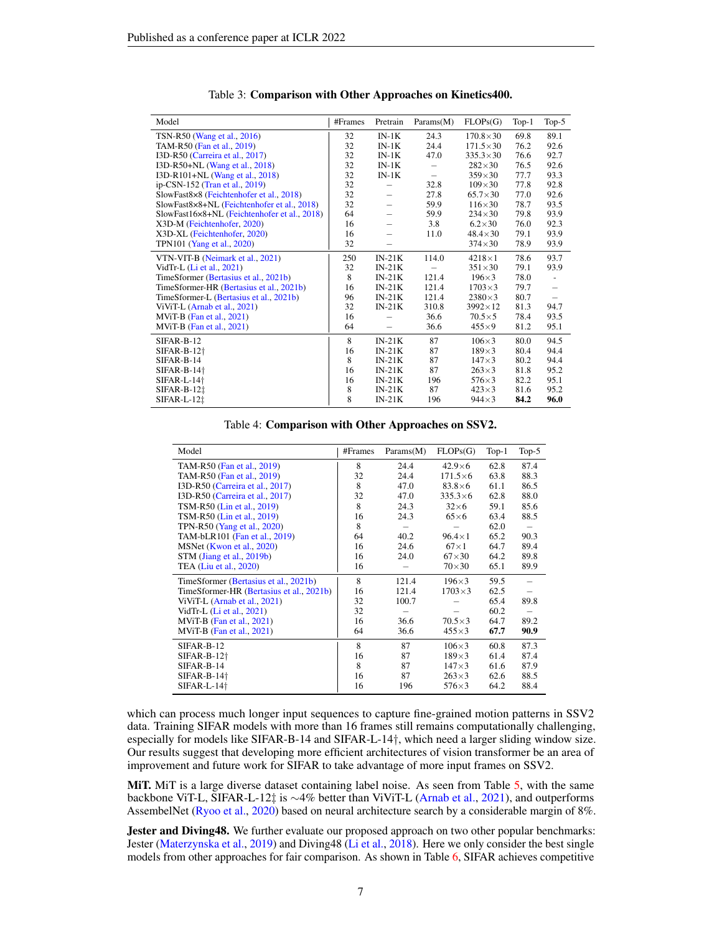<span id="page-6-0"></span>

| Model                                        | #Frames | Pretrain | Params(M) | FLOPs(G)          | $Top-1$ | $Top-5$                  |
|----------------------------------------------|---------|----------|-----------|-------------------|---------|--------------------------|
| TSN-R50 (Wang et al., 2016)                  | 32      | $IN-1K$  | 24.3      | $170.8 \times 30$ | 69.8    | 89.1                     |
| TAM-R50 (Fan et al., 2019)                   | 32      | $IN-1K$  | 24.4      | $171.5 \times 30$ | 76.2    | 92.6                     |
| I3D-R50 (Carreira et al., 2017)              | 32      | $IN-1K$  | 47.0      | $335.3 \times 30$ | 76.6    | 92.7                     |
| I3D-R50+NL (Wang et al., 2018)               | 32      | $IN-1K$  |           | $282\times30$     | 76.5    | 92.6                     |
| I3D-R101+NL (Wang et al., 2018)              | 32      | $IN-1K$  | -         | $359\times30$     | 77.7    | 93.3                     |
| ip-CSN-152 (Tran et al., 2019)               | 32      |          | 32.8      | $109\times30$     | 77.8    | 92.8                     |
| SlowFast8×8 (Feichtenhofer et al., 2018)     | 32      |          | 27.8      | $65.7 \times 30$  | 77.0    | 92.6                     |
| SlowFast8×8+NL (Feichtenhofer et al., 2018)  | 32      |          | 59.9      | $116\times30$     | 78.7    | 93.5                     |
| SlowFast16×8+NL (Feichtenhofer et al., 2018) | 64      |          | 59.9      | $234\times30$     | 79.8    | 93.9                     |
| X3D-M (Feichtenhofer, 2020)                  | 16      |          | 3.8       | $6.2\times30$     | 76.0    | 92.3                     |
| X3D-XL (Feichtenhofer, 2020)                 | 16      |          | 11.0      | $48.4 \times 30$  | 79.1    | 93.9                     |
| TPN101 (Yang et al., 2020)                   | 32      |          |           | $374\times30$     | 78.9    | 93.9                     |
| VTN-VIT-B (Neimark et al., 2021)             | 250     | $IN-21K$ | 114.0     | $4218 \times 1$   | 78.6    | 93.7                     |
| VidTr-L (Li et al., 2021)                    | 32      | $IN-21K$ |           | $351\times30$     | 79.1    | 93.9                     |
| TimeSformer (Bertasius et al., 2021b)        | 8       | $IN-21K$ | 121.4     | $196\times3$      | 78.0    | $\overline{\phantom{a}}$ |
| TimeSformer-HR (Bertasius et al., 2021b)     | 16      | $IN-21K$ | 121.4     | $1703\times3$     | 79.7    |                          |
| TimeSformer-L (Bertasius et al., 2021b)      | 96      | $IN-21K$ | 121.4     | $2380\times3$     | 80.7    | -                        |
| ViViT-L (Arnab et al., 2021)                 | 32      | $IN-21K$ | 310.8     | $3992\times12$    | 81.3    | 94.7                     |
| $MViT-B$ (Fan et al., 2021)                  | 16      |          | 36.6      | $70.5\times 5$    | 78.4    | 93.5                     |
| $MViT-B$ (Fan et al., 2021)                  | 64      |          | 36.6      | $455\times9$      | 81.2    | 95.1                     |
| SIFAR-B-12                                   | 8       | $IN-21K$ | 87        | $106\times3$      | 80.0    | 94.5                     |
| $SIFAR-B-12+$                                | 16      | $IN-21K$ | 87        | $189\times3$      | 80.4    | 94.4                     |
| SIFAR-B-14                                   | 8       | $IN-21K$ | 87        | $147\times3$      | 80.2    | 94.4                     |
| $SIFAR-B-14+$                                | 16      | $IN-21K$ | 87        | $263\times3$      | 81.8    | 95.2                     |
| $SIFAR-L-14\dagger$                          | 16      | $IN-21K$ | 196       | $576\times3$      | 82.2    | 95.1                     |
| $SIFAR-B-121$                                | 8       | $IN-21K$ | 87        | $423\times3$      | 81.6    | 95.2                     |
| $SIFAR-L-121$                                | 8       | $IN-21K$ | 196       | $944\times3$      | 84.2    | 96.0                     |

Table 3: Comparison with Other Approaches on Kinetics400.

Table 4: Comparison with Other Approaches on SSV2.

<span id="page-6-1"></span>

| Model                                    | #Frames | Params(M) | FLOPs(G)        | $Top-1$ | Top- $5$ |
|------------------------------------------|---------|-----------|-----------------|---------|----------|
| TAM-R50 (Fan et al., 2019)               | 8       | 24.4      | $42.9\times 6$  | 62.8    | 87.4     |
| TAM-R50 (Fan et al., 2019)               | 32      | 24.4      | $171.5\times 6$ | 63.8    | 88.3     |
| I3D-R50 (Carreira et al., 2017)          | 8       | 47.0      | $83.8\times 6$  | 61.1    | 86.5     |
| I3D-R50 (Carreira et al., 2017)          | 32      | 47.0      | $335.3\times 6$ | 62.8    | 88.0     |
| TSM-R50 (Lin et al., 2019)               | 8       | 24.3      | $32\times6$     | 59.1    | 85.6     |
| TSM-R50 (Lin et al., 2019)               | 16      | 24.3      | $65\times6$     | 63.4    | 88.5     |
| TPN-R50 (Yang et al., 2020)              | 8       |           |                 | 62.0    |          |
| TAM-bLR101 (Fan et al., 2019)            | 64      | 40.2      | $96.4 \times 1$ | 65.2    | 90.3     |
| MSNet (Kwon et al., 2020)                | 16      | 24.6      | $67\times1$     | 64.7    | 89.4     |
| STM (Jiang et al., 2019b)                | 16      | 24.0      | $67\times30$    | 64.2    | 89.8     |
| TEA (Liu et al., 2020)                   | 16      |           | $70\times30$    | 65.1    | 89.9     |
| TimeSformer (Bertasius et al., 2021b)    | 8       | 121.4     | $196\times3$    | 59.5    |          |
| TimeSformer-HR (Bertasius et al., 2021b) | 16      | 121.4     | $1703\times3$   | 62.5    |          |
| ViViT-L (Arnab et al., 2021)             | 32      | 100.7     |                 | 65.4    | 89.8     |
| VidTr-L (Li et al., 2021)                | 32      |           |                 | 60.2    |          |
| $MViT-B$ (Fan et al., 2021)              | 16      | 36.6      | $70.5\times3$   | 64.7    | 89.2     |
| $MViT-B$ (Fan et al., 2021)              | 64      | 36.6      | $455\times3$    | 67.7    | 90.9     |
| SIFAR-B-12                               | 8       | 87        | $106\times3$    | 60.8    | 87.3     |
| $SIFAR-B-12+$                            | 16      | 87        | $189\times3$    | 61.4    | 87.4     |
| SIFAR-B-14                               | 8       | 87        | $147\times3$    | 61.6    | 87.9     |
| $SIFAR-B-14\dagger$                      | 16      | 87        | $263\times3$    | 62.6    | 88.5     |
| $SIFAR-L-14\dagger$                      | 16      | 196       | $576\times3$    | 64.2    | 88.4     |

which can process much longer input sequences to capture fine-grained motion patterns in SSV2 data. Training SIFAR models with more than 16 frames still remains computationally challenging, especially for models like SIFAR-B-14 and SIFAR-L-14†, which need a larger sliding window size. Our results suggest that developing more efficient architectures of vision transformer be an area of improvement and future work for SIFAR to take advantage of more input frames on SSV2.

MiT. MiT is a large diverse dataset containing label noise. As seen from Table [5,](#page-7-0) with the same backbone ViT-L, SIFAR-L-12‡ is ∼4% better than ViViT-L [\(Arnab et al.,](#page-9-5) [2021\)](#page-9-5), and outperforms AssembelNet [\(Ryoo et al.,](#page-11-14) [2020\)](#page-11-14) based on neural architecture search by a considerable margin of 8%.

Jester and Diving48. We further evaluate our proposed approach on two other popular benchmarks: Jester [\(Materzynska et al.,](#page-10-6) [2019\)](#page-10-6) and Diving48 [\(Li et al.,](#page-10-7) [2018\)](#page-10-7). Here we only consider the best single models from other approaches for fair comparison. As shown in Table [6,](#page-7-1) SIFAR achieves competitive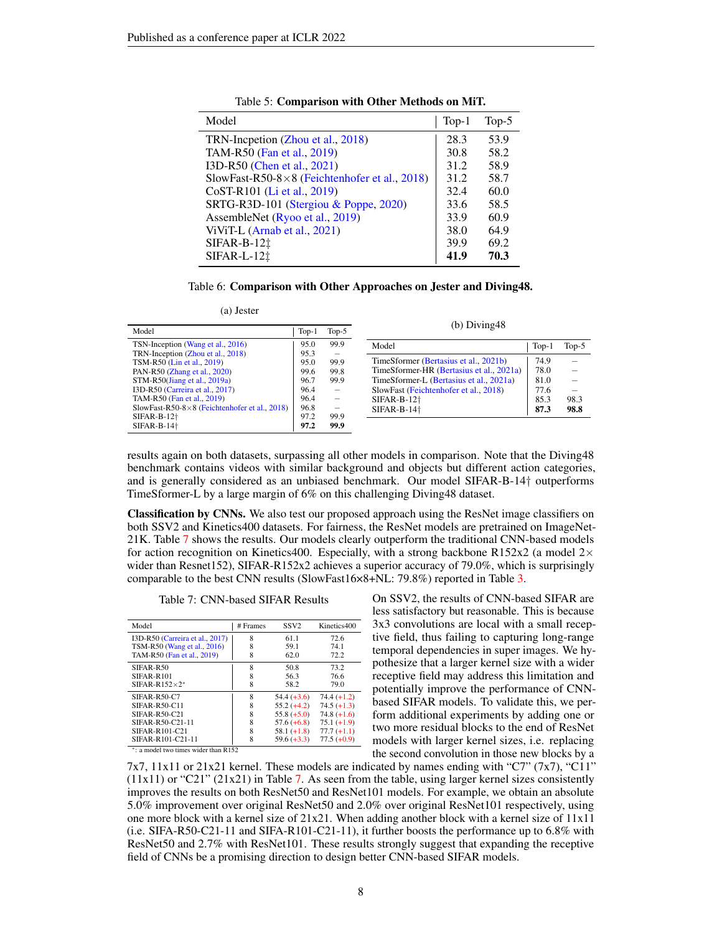<span id="page-7-0"></span>

| Model                                         | $Top-1$ | Top- $5$ |
|-----------------------------------------------|---------|----------|
| TRN-Incpetion (Zhou et al., 2018)             | 28.3    | 53.9     |
| TAM-R50 (Fan et al., 2019)                    | 30.8    | 58.2     |
| I3D-R50 (Chen et al., 2021)                   | 31.2    | 58.9     |
| SlowFast-R50-8×8 (Feichtenhofer et al., 2018) | 31.2    | 58.7     |
| CoST-R101 (Li et al., 2019)                   | 32.4    | 60.0     |
| SRTG-R3D-101 (Stergiou & Poppe, 2020)         | 33.6    | 58.5     |
| AssembleNet (Ryoo et al., 2019)               | 33.9    | 60.9     |
| ViViT-L (Arnab et al., 2021)                  | 38.0    | 64.9     |
| $SIFAR-B-12†$                                 | 39.9    | 69.2     |
| $SIFAR-L-12†$                                 | 41.9    | 70.3     |

Table 5: Comparison with Other Methods on MiT.

#### Table 6: Comparison with Other Approaches on Jester and Diving48.

(a) Jester

<span id="page-7-1"></span>

| Model<br>$Top-1$                                                       |              | Top-5                            | (b) $Diving48$                           |         |         |  |  |
|------------------------------------------------------------------------|--------------|----------------------------------|------------------------------------------|---------|---------|--|--|
| TSN-Inception (Wang et al., 2016)<br>TRN-Inception (Zhou et al., 2018) | 95.0<br>95.3 | 99.9<br>$\overline{\phantom{0}}$ | Model                                    | $Top-1$ | $Top-5$ |  |  |
| TSM-R50 (Lin et al., 2019)                                             | 95.0         | 99.9                             | TimeSformer (Bertasius et al., 2021b)    | 74.9    |         |  |  |
| PAN-R50 (Zhang et al., 2020)                                           | 99.6         | 99.8                             | TimeSformer-HR (Bertasius et al., 2021a) | 78.0    |         |  |  |
| $STM-R50$ (Jiang et al., 2019a)                                        | 96.7         | 99.9                             | TimeSformer-L (Bertasius et al., 2021a)  | 81.0    |         |  |  |
| I3D-R50 (Carreira et al., 2017)                                        | 96.4         | $\overline{\phantom{m}}$         | SlowFast (Feichtenhofer et al., 2018)    | 77.6    |         |  |  |
| TAM-R50 (Fan et al., 2019)                                             | 96.4         | $\qquad \qquad -$                | $SIFAR-B-12+$                            | 85.3    | 98.3    |  |  |
| SlowFast-R50-8 $\times$ 8 (Feichtenhofer et al., 2018)                 | 96.8         |                                  | $SIFAR-B-14+$                            | 87.3    | 98.8    |  |  |
| $SIFAR-B-12+$                                                          | 97.2         | 99.9                             |                                          |         |         |  |  |
| SIFAR-B-14 <sup>+</sup>                                                | 97.2         | 99.9                             |                                          |         |         |  |  |

results again on both datasets, surpassing all other models in comparison. Note that the Diving48 benchmark contains videos with similar background and objects but different action categories, and is generally considered as an unbiased benchmark. Our model SIFAR-B-14† outperforms TimeSformer-L by a large margin of 6% on this challenging Diving48 dataset.

Classification by CNNs. We also test our proposed approach using the ResNet image classifiers on both SSV2 and Kinetics400 datasets. For fairness, the ResNet models are pretrained on ImageNet-21K. Table [7](#page-7-2) shows the results. Our models clearly outperform the traditional CNN-based models for action recognition on Kinetics400. Especially, with a strong backbone R152x2 (a model  $2\times$ wider than Resnet152), SIFAR-R152x2 achieves a superior accuracy of 79.0%, which is surprisingly comparable to the best CNN results (SlowFast16×8+NL: 79.8%) reported in Table [3.](#page-6-0)

Table 7: CNN-based SIFAR Results

<span id="page-7-2"></span>

| Model                           | # Frames | SSV <sub>2</sub> | Kinetics400   |
|---------------------------------|----------|------------------|---------------|
| I3D-R50 (Carreira et al., 2017) | 8        | 61.1             | 72.6          |
| TSM-R50 (Wang et al., 2016)     | 8        | 59.1             | 74.1          |
| TAM-R50 (Fan et al., 2019)      | 8        | 62.0             | 72.2          |
| SIFAR-R50                       | 8        | 50.8             | 73.2          |
| SIFAR-R101                      | 8        | 56.3             | 76.6          |
| $SIFAR-R152\times2*$            | 8        | 58.2             | 79.0          |
| $SIFAR-R50-C7$                  | 8        | $54.4 (+3.6)$    | $74.4 (+1.2)$ |
| $SIFAR-R50-C11$                 | 8        | $55.2 (+4.2)$    | $74.5 (+1.3)$ |
| $SIFAR-R50-C21$                 | 8        | $55.8 (+5.0)$    | $74.8 (+1.6)$ |
| SIFAR-R50-C21-11                | 8        | $57.6 (+6.8)$    | $75.1(+1.9)$  |
| SIFAR-R101-C21                  | 8        | $58.1 (+1.8)$    | $77.7 (+1.1)$ |
| SIFAR-R101-C21-11<br>. .        | 8        | $59.6 (+3.3)$    | $77.5 (+0.9)$ |

∗ : a model two times wider than R152

On SSV2, the results of CNN-based SIFAR are less satisfactory but reasonable. This is because 3x3 convolutions are local with a small receptive field, thus failing to capturing long-range temporal dependencies in super images. We hypothesize that a larger kernel size with a wider receptive field may address this limitation and potentially improve the performance of CNNbased SIFAR models. To validate this, we perform additional experiments by adding one or two more residual blocks to the end of ResNet models with larger kernel sizes, i.e. replacing the second convolution in those new blocks by a

7x7,  $11x11$  or  $21x21$  kernel. These models are indicated by names ending with "C7" (7x7), "C11"  $(11x11)$  or "C21"  $(21x21)$  in Table [7.](#page-7-2) As seen from the table, using larger kernel sizes consistently improves the results on both ResNet50 and ResNet101 models. For example, we obtain an absolute 5.0% improvement over original ResNet50 and 2.0% over original ResNet101 respectively, using one more block with a kernel size of 21x21. When adding another block with a kernel size of 11x11 (i.e. SIFA-R50-C21-11 and SIFA-R101-C21-11), it further boosts the performance up to 6.8% with ResNet50 and 2.7% with ResNet101. These results strongly suggest that expanding the receptive field of CNNs be a promising direction to design better CNN-based SIFAR models.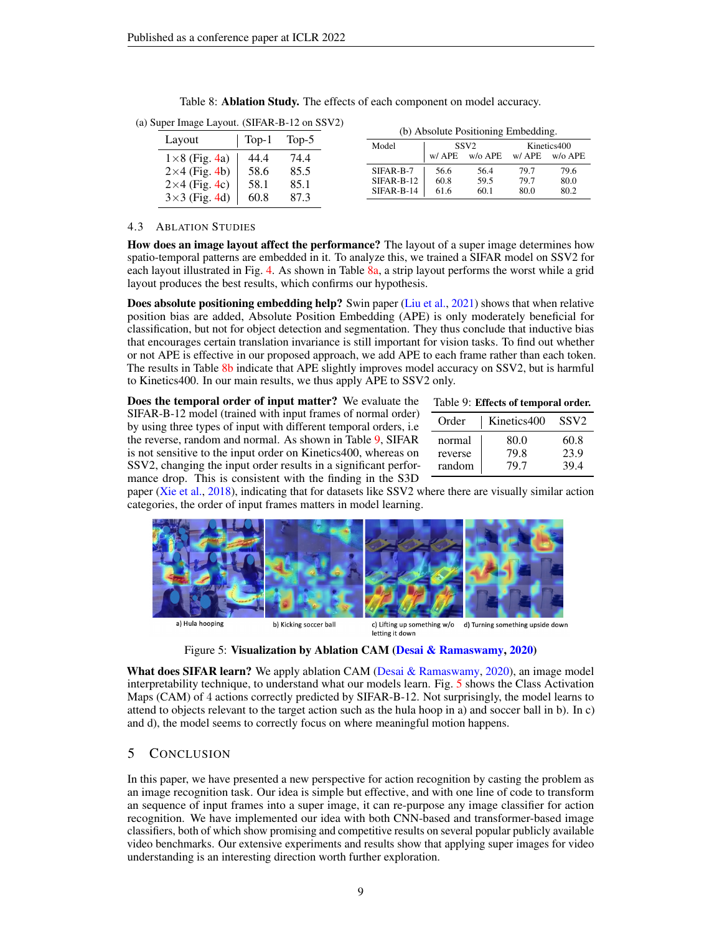| $\mu$ apertmage East of the state of $\mu$ and $\mu$ |         | (b) Absolute Positioning Embedding. |                          |              |                  |              |              |
|------------------------------------------------------|---------|-------------------------------------|--------------------------|--------------|------------------|--------------|--------------|
| Layout                                               | $Top-1$ | Top-5                               | Model                    |              | SSV <sub>2</sub> |              | Kinetics400  |
| $1\times 8$ (Fig. 4a)                                | 44.4    | 74.4                                |                          | w/ APE       | w/o APE          | w/ APE       | $w/o$ APE    |
| $2\times4$ (Fig. 4b)                                 | 58.6    | 85.5                                | SIFAR-B-7                | 56.6         | 56.4             | 79.7         | 79.6         |
| $2\times4$ (Fig. 4c)                                 | 58.1    | 85.1                                | SIFAR-B-12<br>SIFAR-B-14 | 60.8<br>61.6 | 59.5<br>60.1     | 79.7<br>80.0 | 80.0<br>80.2 |
| $3\times3$ (Fig. 4d)                                 | 60.8    | 87.3                                |                          |              |                  |              |              |

Table 8: Ablation Study. The effects of each component on model accuracy.

<span id="page-8-0"></span>(a) Super Image Layout. (SIFAR-B-12 on SSV2)

## 4.3 ABLATION STUDIES

How does an image layout affect the performance? The layout of a super image determines how spatio-temporal patterns are embedded in it. To analyze this, we trained a SIFAR model on SSV2 for each layout illustrated in Fig. [4.](#page-3-1) As shown in Table [8a,](#page-8-0) a strip layout performs the worst while a grid layout produces the best results, which confirms our hypothesis.

Does absolute positioning embedding help? Swin paper [\(Liu et al.,](#page-10-4) [2021\)](#page-10-4) shows that when relative position bias are added, Absolute Position Embedding (APE) is only moderately beneficial for classification, but not for object detection and segmentation. They thus conclude that inductive bias that encourages certain translation invariance is still important for vision tasks. To find out whether or not APE is effective in our proposed approach, we add APE to each frame rather than each token. The results in Table [8b](#page-8-0) indicate that APE slightly improves model accuracy on SSV2, but is harmful to Kinetics400. In our main results, we thus apply APE to SSV2 only.

Does the temporal order of input matter? We evaluate the SIFAR-B-12 model (trained with input frames of normal order) by using three types of input with different temporal orders, i.e the reverse, random and normal. As shown in Table [9,](#page-8-1) SIFAR is not sensitive to the input order on Kinetics400, whereas on SSV2, changing the input order results in a significant performance drop. This is consistent with the finding in the S3D

<span id="page-8-1"></span>

| Order   | Kinetics400 | SSV <sub>2</sub> |
|---------|-------------|------------------|
| normal  | 80.0        | 60.8             |
| reverse | 79.8        | 23.9             |
| random  | 79.7        | 39.4             |

paper [\(Xie et al.,](#page-12-10) [2018\)](#page-12-10), indicating that for datasets like SSV2 where there are visually similar action categories, the order of input frames matters in model learning.

<span id="page-8-2"></span>

Figure 5: Visualization by Ablation CAM [\(Desai & Ramaswamy,](#page-9-7) [2020\)](#page-9-7)

What does SIFAR learn? We apply ablation CAM (Desai  $\&$  Ramaswamy, [2020\)](#page-9-7), an image model interpretability technique, to understand what our models learn. Fig. [5](#page-8-2) shows the Class Activation Maps (CAM) of 4 actions correctly predicted by SIFAR-B-12. Not surprisingly, the model learns to attend to objects relevant to the target action such as the hula hoop in a) and soccer ball in b). In c) and d), the model seems to correctly focus on where meaningful motion happens.

# 5 CONCLUSION

In this paper, we have presented a new perspective for action recognition by casting the problem as an image recognition task. Our idea is simple but effective, and with one line of code to transform an sequence of input frames into a super image, it can re-purpose any image classifier for action recognition. We have implemented our idea with both CNN-based and transformer-based image classifiers, both of which show promising and competitive results on several popular publicly available video benchmarks. Our extensive experiments and results show that applying super images for video understanding is an interesting direction worth further exploration.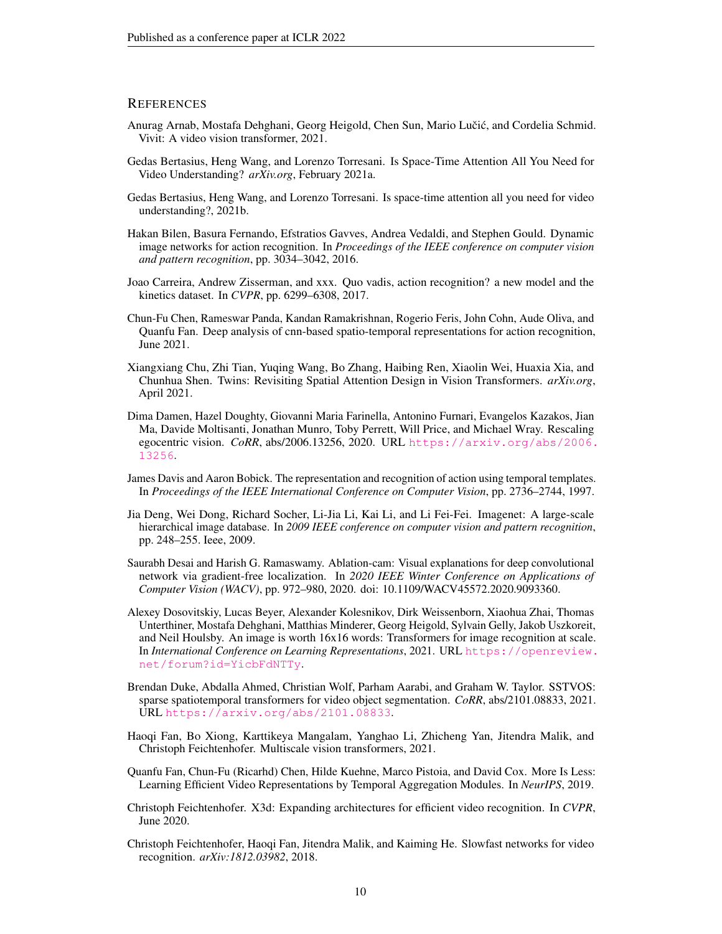## **REFERENCES**

- <span id="page-9-5"></span>Anurag Arnab, Mostafa Dehghani, Georg Heigold, Chen Sun, Mario Lučić, and Cordelia Schmid. Vivit: A video vision transformer, 2021.
- <span id="page-9-4"></span>Gedas Bertasius, Heng Wang, and Lorenzo Torresani. Is Space-Time Attention All You Need for Video Understanding? *arXiv.org*, February 2021a.
- <span id="page-9-13"></span>Gedas Bertasius, Heng Wang, and Lorenzo Torresani. Is space-time attention all you need for video understanding?, 2021b.
- <span id="page-9-9"></span>Hakan Bilen, Basura Fernando, Efstratios Gavves, Andrea Vedaldi, and Stephen Gould. Dynamic image networks for action recognition. In *Proceedings of the IEEE conference on computer vision and pattern recognition*, pp. 3034–3042, 2016.
- <span id="page-9-1"></span>Joao Carreira, Andrew Zisserman, and xxx. Quo vadis, action recognition? a new model and the kinetics dataset. In *CVPR*, pp. 6299–6308, 2017.
- <span id="page-9-11"></span>Chun-Fu Chen, Rameswar Panda, Kandan Ramakrishnan, Rogerio Feris, John Cohn, Aude Oliva, and Quanfu Fan. Deep analysis of cnn-based spatio-temporal representations for action recognition, June 2021.
- <span id="page-9-15"></span>Xiangxiang Chu, Zhi Tian, Yuqing Wang, Bo Zhang, Haibing Ren, Xiaolin Wei, Huaxia Xia, and Chunhua Shen. Twins: Revisiting Spatial Attention Design in Vision Transformers. *arXiv.org*, April 2021.
- <span id="page-9-0"></span>Dima Damen, Hazel Doughty, Giovanni Maria Farinella, Antonino Furnari, Evangelos Kazakos, Jian Ma, Davide Moltisanti, Jonathan Munro, Toby Perrett, Will Price, and Michael Wray. Rescaling egocentric vision. *CoRR*, abs/2006.13256, 2020. URL [https://arxiv.org/abs/2006.](https://arxiv.org/abs/2006.13256) [13256](https://arxiv.org/abs/2006.13256).
- <span id="page-9-8"></span>James Davis and Aaron Bobick. The representation and recognition of action using temporal templates. In *Proceedings of the IEEE International Conference on Computer Vision*, pp. 2736–2744, 1997.
- <span id="page-9-16"></span>Jia Deng, Wei Dong, Richard Socher, Li-Jia Li, Kai Li, and Li Fei-Fei. Imagenet: A large-scale hierarchical image database. In *2009 IEEE conference on computer vision and pattern recognition*, pp. 248–255. Ieee, 2009.
- <span id="page-9-7"></span>Saurabh Desai and Harish G. Ramaswamy. Ablation-cam: Visual explanations for deep convolutional network via gradient-free localization. In *2020 IEEE Winter Conference on Applications of Computer Vision (WACV)*, pp. 972–980, 2020. doi: 10.1109/WACV45572.2020.9093360.
- <span id="page-9-12"></span>Alexey Dosovitskiy, Lucas Beyer, Alexander Kolesnikov, Dirk Weissenborn, Xiaohua Zhai, Thomas Unterthiner, Mostafa Dehghani, Matthias Minderer, Georg Heigold, Sylvain Gelly, Jakob Uszkoreit, and Neil Houlsby. An image is worth 16x16 words: Transformers for image recognition at scale. In *International Conference on Learning Representations*, 2021. URL [https://openreview.](https://openreview.net/forum?id=YicbFdNTTy) [net/forum?id=YicbFdNTTy](https://openreview.net/forum?id=YicbFdNTTy).
- <span id="page-9-6"></span>Brendan Duke, Abdalla Ahmed, Christian Wolf, Parham Aarabi, and Graham W. Taylor. SSTVOS: sparse spatiotemporal transformers for video object segmentation. *CoRR*, abs/2101.08833, 2021. URL <https://arxiv.org/abs/2101.08833>.
- <span id="page-9-14"></span>Haoqi Fan, Bo Xiong, Karttikeya Mangalam, Yanghao Li, Zhicheng Yan, Jitendra Malik, and Christoph Feichtenhofer. Multiscale vision transformers, 2021.
- <span id="page-9-3"></span>Quanfu Fan, Chun-Fu (Ricarhd) Chen, Hilde Kuehne, Marco Pistoia, and David Cox. More Is Less: Learning Efficient Video Representations by Temporal Aggregation Modules. In *NeurIPS*, 2019.
- <span id="page-9-2"></span>Christoph Feichtenhofer. X3d: Expanding architectures for efficient video recognition. In *CVPR*, June 2020.
- <span id="page-9-10"></span>Christoph Feichtenhofer, Haoqi Fan, Jitendra Malik, and Kaiming He. Slowfast networks for video recognition. *arXiv:1812.03982*, 2018.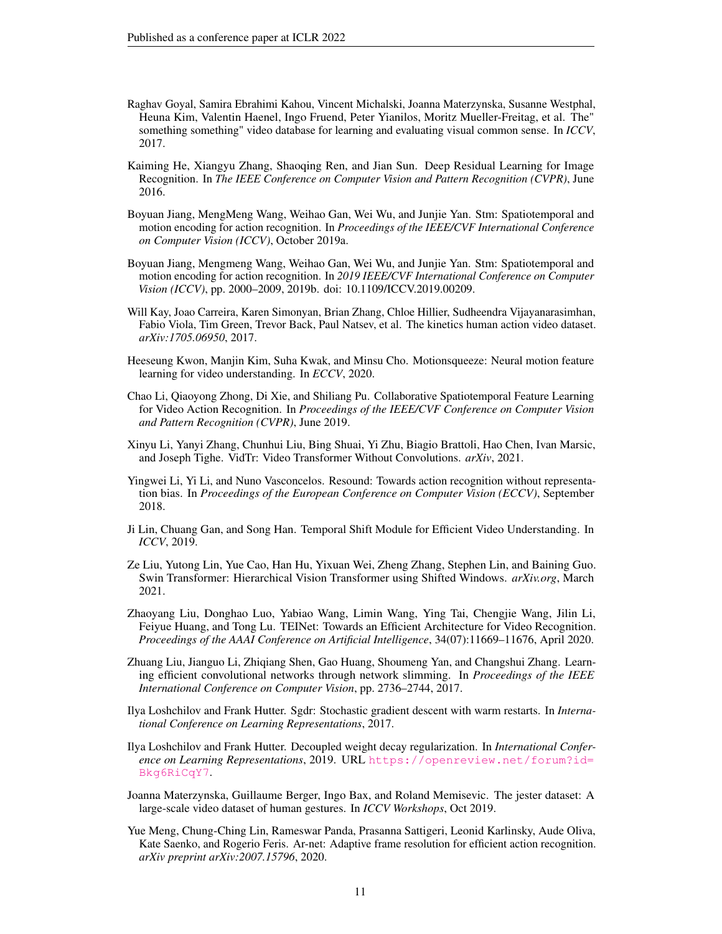- <span id="page-10-5"></span>Raghav Goyal, Samira Ebrahimi Kahou, Vincent Michalski, Joanna Materzynska, Susanne Westphal, Heuna Kim, Valentin Haenel, Ingo Fruend, Peter Yianilos, Moritz Mueller-Freitag, et al. The" something something" video database for learning and evaluating visual common sense. In *ICCV*, 2017.
- <span id="page-10-0"></span>Kaiming He, Xiangyu Zhang, Shaoqing Ren, and Jian Sun. Deep Residual Learning for Image Recognition. In *The IEEE Conference on Computer Vision and Pattern Recognition (CVPR)*, June 2016.
- <span id="page-10-10"></span>Boyuan Jiang, MengMeng Wang, Weihao Gan, Wei Wu, and Junjie Yan. Stm: Spatiotemporal and motion encoding for action recognition. In *Proceedings of the IEEE/CVF International Conference on Computer Vision (ICCV)*, October 2019a.
- <span id="page-10-15"></span>Boyuan Jiang, Mengmeng Wang, Weihao Gan, Wei Wu, and Junjie Yan. Stm: Spatiotemporal and motion encoding for action recognition. In *2019 IEEE/CVF International Conference on Computer Vision (ICCV)*, pp. 2000–2009, 2019b. doi: 10.1109/ICCV.2019.00209.
- <span id="page-10-1"></span>Will Kay, Joao Carreira, Karen Simonyan, Brian Zhang, Chloe Hillier, Sudheendra Vijayanarasimhan, Fabio Viola, Tim Green, Trevor Back, Paul Natsev, et al. The kinetics human action video dataset. *arXiv:1705.06950*, 2017.
- <span id="page-10-14"></span>Heeseung Kwon, Manjin Kim, Suha Kwak, and Minsu Cho. Motionsqueeze: Neural motion feature learning for video understanding. In *ECCV*, 2020.
- <span id="page-10-16"></span>Chao Li, Qiaoyong Zhong, Di Xie, and Shiliang Pu. Collaborative Spatiotemporal Feature Learning for Video Action Recognition. In *Proceedings of the IEEE/CVF Conference on Computer Vision and Pattern Recognition (CVPR)*, June 2019.
- <span id="page-10-3"></span>Xinyu Li, Yanyi Zhang, Chunhui Liu, Bing Shuai, Yi Zhu, Biagio Brattoli, Hao Chen, Ivan Marsic, and Joseph Tighe. VidTr: Video Transformer Without Convolutions. *arXiv*, 2021.
- <span id="page-10-7"></span>Yingwei Li, Yi Li, and Nuno Vasconcelos. Resound: Towards action recognition without representation bias. In *Proceedings of the European Conference on Computer Vision (ECCV)*, September 2018.
- <span id="page-10-2"></span>Ji Lin, Chuang Gan, and Song Han. Temporal Shift Module for Efficient Video Understanding. In *ICCV*, 2019.
- <span id="page-10-4"></span>Ze Liu, Yutong Lin, Yue Cao, Han Hu, Yixuan Wei, Zheng Zhang, Stephen Lin, and Baining Guo. Swin Transformer: Hierarchical Vision Transformer using Shifted Windows. *arXiv.org*, March 2021.
- <span id="page-10-9"></span>Zhaoyang Liu, Donghao Luo, Yabiao Wang, Limin Wang, Ying Tai, Chengjie Wang, Jilin Li, Feiyue Huang, and Tong Lu. TEINet: Towards an Efficient Architecture for Video Recognition. *Proceedings of the AAAI Conference on Artificial Intelligence*, 34(07):11669–11676, April 2020.
- <span id="page-10-8"></span>Zhuang Liu, Jianguo Li, Zhiqiang Shen, Gao Huang, Shoumeng Yan, and Changshui Zhang. Learning efficient convolutional networks through network slimming. In *Proceedings of the IEEE International Conference on Computer Vision*, pp. 2736–2744, 2017.
- <span id="page-10-13"></span>Ilya Loshchilov and Frank Hutter. Sgdr: Stochastic gradient descent with warm restarts. In *International Conference on Learning Representations*, 2017.
- <span id="page-10-12"></span>Ilya Loshchilov and Frank Hutter. Decoupled weight decay regularization. In *International Conference on Learning Representations*, 2019. URL [https://openreview.net/forum?id=](https://openreview.net/forum?id=Bkg6RiCqY7) [Bkg6RiCqY7](https://openreview.net/forum?id=Bkg6RiCqY7).
- <span id="page-10-6"></span>Joanna Materzynska, Guillaume Berger, Ingo Bax, and Roland Memisevic. The jester dataset: A large-scale video dataset of human gestures. In *ICCV Workshops*, Oct 2019.
- <span id="page-10-11"></span>Yue Meng, Chung-Ching Lin, Rameswar Panda, Prasanna Sattigeri, Leonid Karlinsky, Aude Oliva, Kate Saenko, and Rogerio Feris. Ar-net: Adaptive frame resolution for efficient action recognition. *arXiv preprint arXiv:2007.15796*, 2020.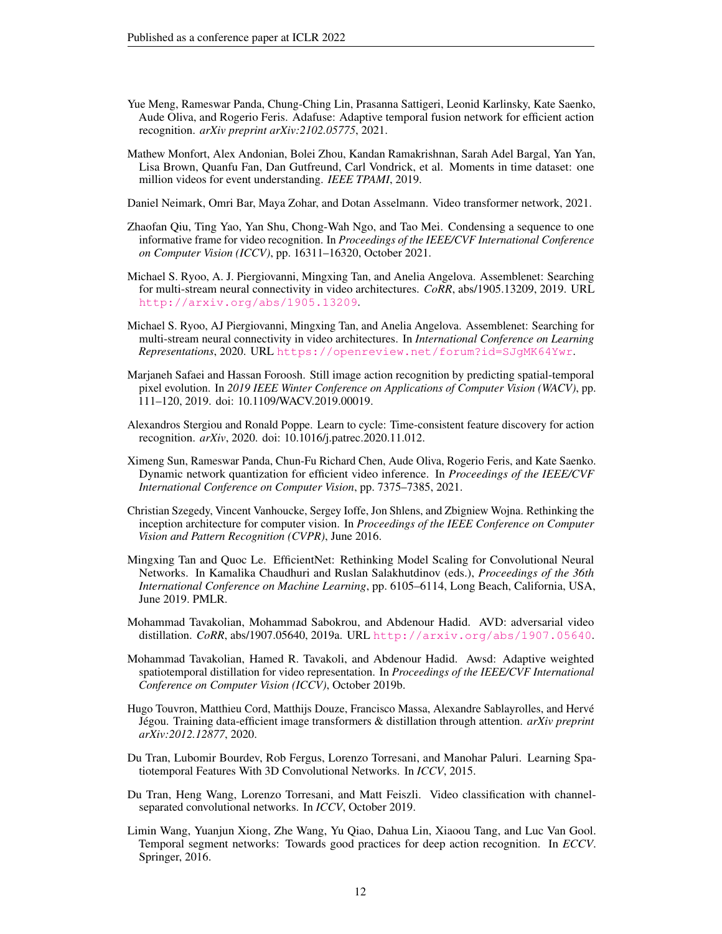- <span id="page-11-9"></span>Yue Meng, Rameswar Panda, Chung-Ching Lin, Prasanna Sattigeri, Leonid Karlinsky, Kate Saenko, Aude Oliva, and Rogerio Feris. Adafuse: Adaptive temporal fusion network for efficient action recognition. *arXiv preprint arXiv:2102.05775*, 2021.
- <span id="page-11-1"></span>Mathew Monfort, Alex Andonian, Bolei Zhou, Kandan Ramakrishnan, Sarah Adel Bargal, Yan Yan, Lisa Brown, Quanfu Fan, Dan Gutfreund, Carl Vondrick, et al. Moments in time dataset: one million videos for event understanding. *IEEE TPAMI*, 2019.
- <span id="page-11-11"></span>Daniel Neimark, Omri Bar, Maya Zohar, and Dotan Asselmann. Video transformer network, 2021.
- <span id="page-11-4"></span>Zhaofan Qiu, Ting Yao, Yan Shu, Chong-Wah Ngo, and Tao Mei. Condensing a sequence to one informative frame for video recognition. In *Proceedings of the IEEE/CVF International Conference on Computer Vision (ICCV)*, pp. 16311–16320, October 2021.
- <span id="page-11-16"></span>Michael S. Ryoo, A. J. Piergiovanni, Mingxing Tan, and Anelia Angelova. Assemblenet: Searching for multi-stream neural connectivity in video architectures. *CoRR*, abs/1905.13209, 2019. URL <http://arxiv.org/abs/1905.13209>.
- <span id="page-11-14"></span>Michael S. Ryoo, AJ Piergiovanni, Mingxing Tan, and Anelia Angelova. Assemblenet: Searching for multi-stream neural connectivity in video architectures. In *International Conference on Learning Representations*, 2020. URL <https://openreview.net/forum?id=SJgMK64Ywr>.
- <span id="page-11-3"></span>Marjaneh Safaei and Hassan Foroosh. Still image action recognition by predicting spatial-temporal pixel evolution. In *2019 IEEE Winter Conference on Applications of Computer Vision (WACV)*, pp. 111–120, 2019. doi: 10.1109/WACV.2019.00019.
- <span id="page-11-15"></span>Alexandros Stergiou and Ronald Poppe. Learn to cycle: Time-consistent feature discovery for action recognition. *arXiv*, 2020. doi: 10.1016/j.patrec.2020.11.012.
- <span id="page-11-10"></span>Ximeng Sun, Rameswar Panda, Chun-Fu Richard Chen, Aude Oliva, Rogerio Feris, and Kate Saenko. Dynamic network quantization for efficient video inference. In *Proceedings of the IEEE/CVF International Conference on Computer Vision*, pp. 7375–7385, 2021.
- <span id="page-11-13"></span>Christian Szegedy, Vincent Vanhoucke, Sergey Ioffe, Jon Shlens, and Zbigniew Wojna. Rethinking the inception architecture for computer vision. In *Proceedings of the IEEE Conference on Computer Vision and Pattern Recognition (CVPR)*, June 2016.
- <span id="page-11-0"></span>Mingxing Tan and Quoc Le. EfficientNet: Rethinking Model Scaling for Convolutional Neural Networks. In Kamalika Chaudhuri and Ruslan Salakhutdinov (eds.), *Proceedings of the 36th International Conference on Machine Learning*, pp. 6105–6114, Long Beach, California, USA, June 2019. PMLR.
- <span id="page-11-6"></span>Mohammad Tavakolian, Mohammad Sabokrou, and Abdenour Hadid. AVD: adversarial video distillation. *CoRR*, abs/1907.05640, 2019a. URL <http://arxiv.org/abs/1907.05640>.
- <span id="page-11-5"></span>Mohammad Tavakolian, Hamed R. Tavakoli, and Abdenour Hadid. Awsd: Adaptive weighted spatiotemporal distillation for video representation. In *Proceedings of the IEEE/CVF International Conference on Computer Vision (ICCV)*, October 2019b.
- <span id="page-11-12"></span>Hugo Touvron, Matthieu Cord, Matthijs Douze, Francisco Massa, Alexandre Sablayrolles, and Hervé Jégou. Training data-efficient image transformers & distillation through attention. *arXiv preprint arXiv:2012.12877*, 2020.
- <span id="page-11-2"></span>Du Tran, Lubomir Bourdev, Rob Fergus, Lorenzo Torresani, and Manohar Paluri. Learning Spatiotemporal Features With 3D Convolutional Networks. In *ICCV*, 2015.
- <span id="page-11-8"></span>Du Tran, Heng Wang, Lorenzo Torresani, and Matt Feiszli. Video classification with channelseparated convolutional networks. In *ICCV*, October 2019.
- <span id="page-11-7"></span>Limin Wang, Yuanjun Xiong, Zhe Wang, Yu Qiao, Dahua Lin, Xiaoou Tang, and Luc Van Gool. Temporal segment networks: Towards good practices for deep action recognition. In *ECCV*. Springer, 2016.